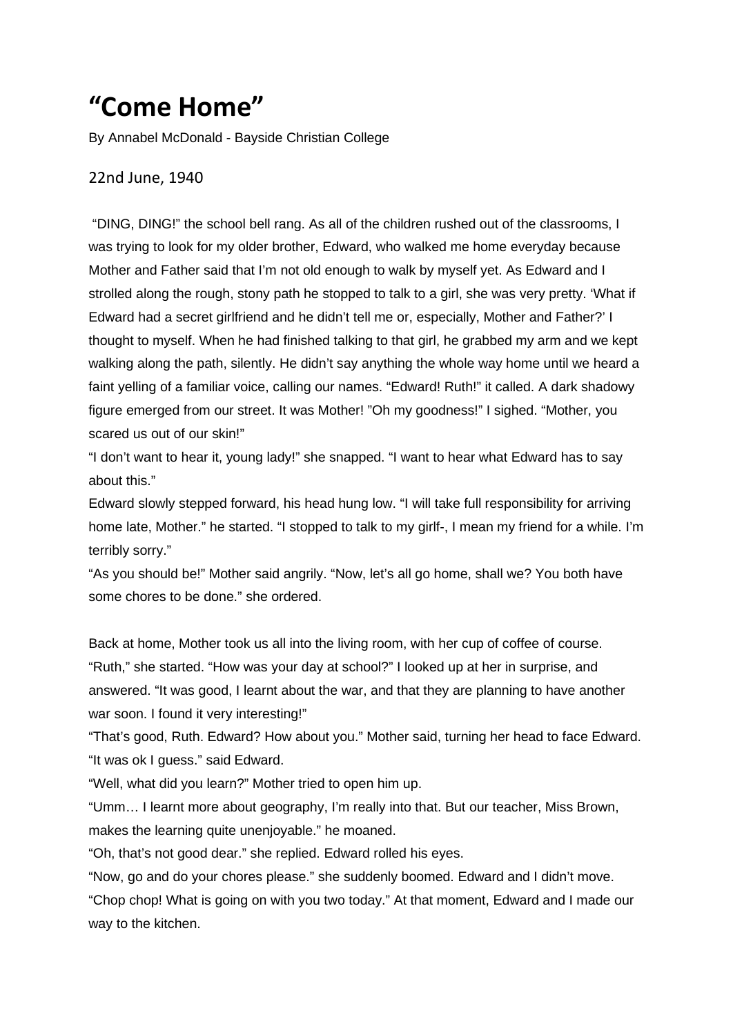## **"Come Home"**

By Annabel McDonald - Bayside Christian College

## 22nd June, 1940

"DING, DING!" the school bell rang. As all of the children rushed out of the classrooms, I was trying to look for my older brother, Edward, who walked me home everyday because Mother and Father said that I'm not old enough to walk by myself yet. As Edward and I strolled along the rough, stony path he stopped to talk to a girl, she was very pretty. 'What if Edward had a secret girlfriend and he didn't tell me or, especially, Mother and Father?' I thought to myself. When he had finished talking to that girl, he grabbed my arm and we kept walking along the path, silently. He didn't say anything the whole way home until we heard a faint yelling of a familiar voice, calling our names. "Edward! Ruth!" it called. A dark shadowy figure emerged from our street. It was Mother! "Oh my goodness!" I sighed. "Mother, you scared us out of our skin!"

"I don't want to hear it, young lady!" she snapped. "I want to hear what Edward has to say about this."

Edward slowly stepped forward, his head hung low. "I will take full responsibility for arriving home late, Mother." he started. "I stopped to talk to my girlf-, I mean my friend for a while. I'm terribly sorry."

"As you should be!" Mother said angrily. "Now, let's all go home, shall we? You both have some chores to be done." she ordered.

Back at home, Mother took us all into the living room, with her cup of coffee of course. "Ruth," she started. "How was your day at school?" I looked up at her in surprise, and answered. "It was good, I learnt about the war, and that they are planning to have another war soon. I found it very interesting!"

"That's good, Ruth. Edward? How about you." Mother said, turning her head to face Edward. "It was ok I guess." said Edward.

"Well, what did you learn?" Mother tried to open him up.

"Umm… I learnt more about geography, I'm really into that. But our teacher, Miss Brown, makes the learning quite unenjoyable." he moaned.

"Oh, that's not good dear." she replied. Edward rolled his eyes.

"Now, go and do your chores please." she suddenly boomed. Edward and I didn't move.

"Chop chop! What is going on with you two today." At that moment, Edward and I made our way to the kitchen.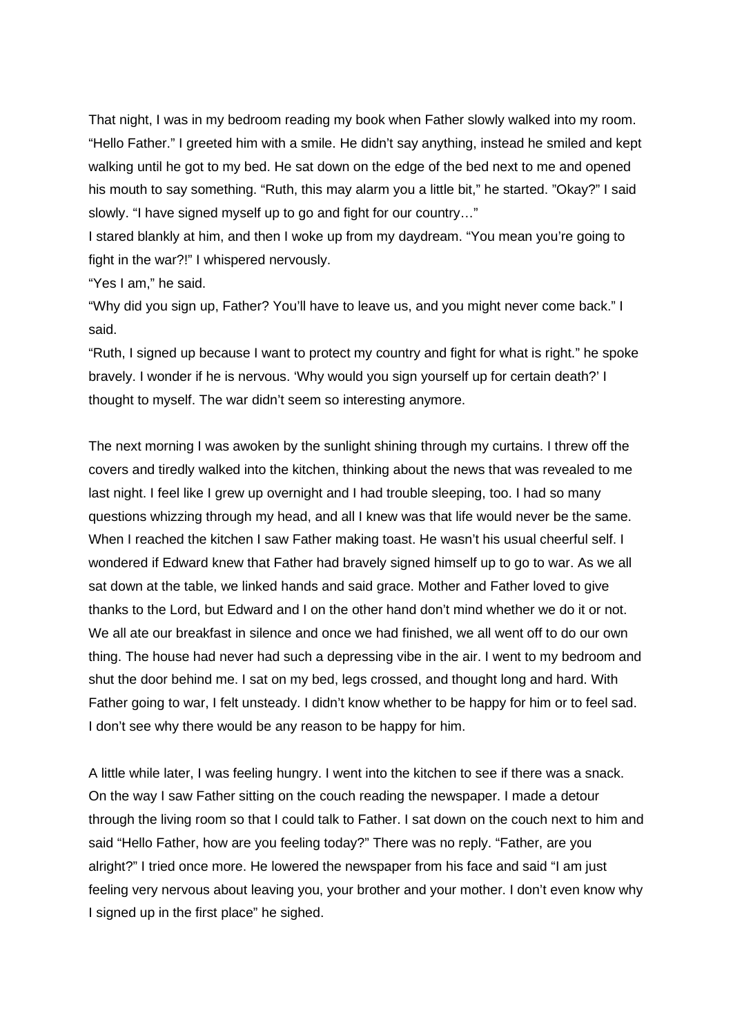That night, I was in my bedroom reading my book when Father slowly walked into my room. "Hello Father." I greeted him with a smile. He didn't say anything, instead he smiled and kept walking until he got to my bed. He sat down on the edge of the bed next to me and opened his mouth to say something. "Ruth, this may alarm you a little bit," he started. "Okay?" I said slowly. "I have signed myself up to go and fight for our country…"

I stared blankly at him, and then I woke up from my daydream. "You mean you're going to fight in the war?!" I whispered nervously.

"Yes I am," he said.

"Why did you sign up, Father? You'll have to leave us, and you might never come back." I said.

"Ruth, I signed up because I want to protect my country and fight for what is right." he spoke bravely. I wonder if he is nervous. 'Why would you sign yourself up for certain death?' I thought to myself. The war didn't seem so interesting anymore.

The next morning I was awoken by the sunlight shining through my curtains. I threw off the covers and tiredly walked into the kitchen, thinking about the news that was revealed to me last night. I feel like I grew up overnight and I had trouble sleeping, too. I had so many questions whizzing through my head, and all I knew was that life would never be the same. When I reached the kitchen I saw Father making toast. He wasn't his usual cheerful self. I wondered if Edward knew that Father had bravely signed himself up to go to war. As we all sat down at the table, we linked hands and said grace. Mother and Father loved to give thanks to the Lord, but Edward and I on the other hand don't mind whether we do it or not. We all ate our breakfast in silence and once we had finished, we all went off to do our own thing. The house had never had such a depressing vibe in the air. I went to my bedroom and shut the door behind me. I sat on my bed, legs crossed, and thought long and hard. With Father going to war, I felt unsteady. I didn't know whether to be happy for him or to feel sad. I don't see why there would be any reason to be happy for him.

A little while later, I was feeling hungry. I went into the kitchen to see if there was a snack. On the way I saw Father sitting on the couch reading the newspaper. I made a detour through the living room so that I could talk to Father. I sat down on the couch next to him and said "Hello Father, how are you feeling today?" There was no reply. "Father, are you alright?" I tried once more. He lowered the newspaper from his face and said "I am just feeling very nervous about leaving you, your brother and your mother. I don't even know why I signed up in the first place" he sighed.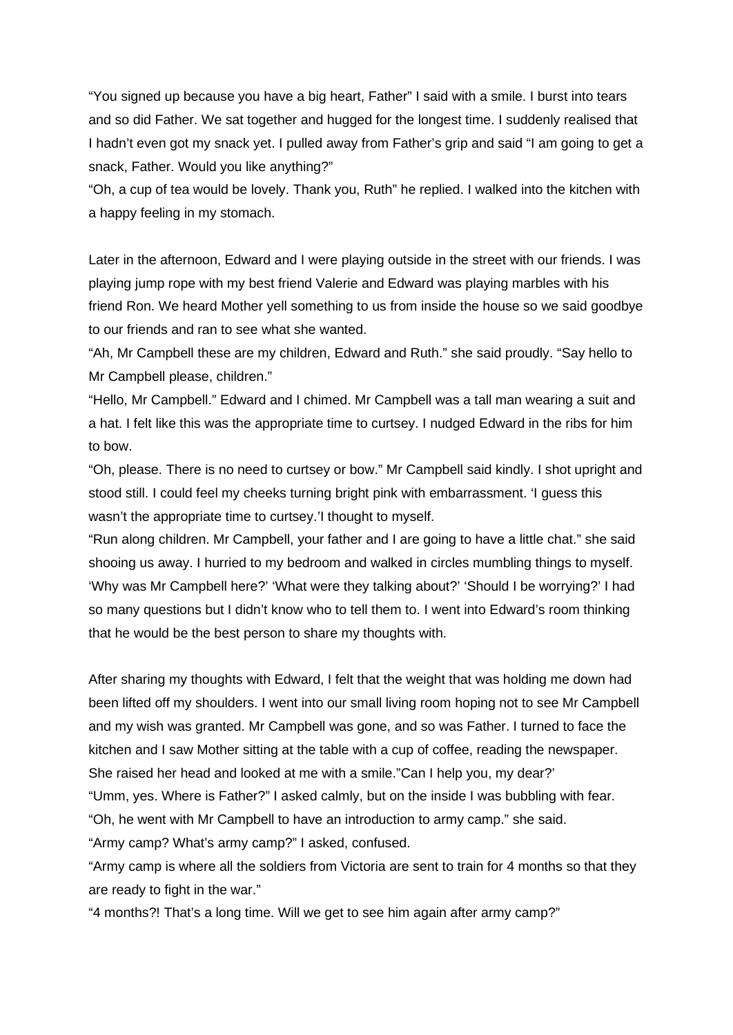"You signed up because you have a big heart, Father" I said with a smile. I burst into tears and so did Father. We sat together and hugged for the longest time. I suddenly realised that I hadn't even got my snack yet. I pulled away from Father's grip and said "I am going to get a snack, Father. Would you like anything?"

"Oh, a cup of tea would be lovely. Thank you, Ruth" he replied. I walked into the kitchen with a happy feeling in my stomach.

Later in the afternoon, Edward and I were playing outside in the street with our friends. I was playing jump rope with my best friend Valerie and Edward was playing marbles with his friend Ron. We heard Mother yell something to us from inside the house so we said goodbye to our friends and ran to see what she wanted.

"Ah, Mr Campbell these are my children, Edward and Ruth." she said proudly. "Say hello to Mr Campbell please, children."

"Hello, Mr Campbell." Edward and I chimed. Mr Campbell was a tall man wearing a suit and a hat. I felt like this was the appropriate time to curtsey. I nudged Edward in the ribs for him to bow.

"Oh, please. There is no need to curtsey or bow." Mr Campbell said kindly. I shot upright and stood still. I could feel my cheeks turning bright pink with embarrassment. 'I guess this wasn't the appropriate time to curtsey.'I thought to myself.

"Run along children. Mr Campbell, your father and I are going to have a little chat." she said shooing us away. I hurried to my bedroom and walked in circles mumbling things to myself. 'Why was Mr Campbell here?' 'What were they talking about?' 'Should I be worrying?' I had so many questions but I didn't know who to tell them to. I went into Edward's room thinking that he would be the best person to share my thoughts with.

After sharing my thoughts with Edward, I felt that the weight that was holding me down had been lifted off my shoulders. I went into our small living room hoping not to see Mr Campbell and my wish was granted. Mr Campbell was gone, and so was Father. I turned to face the kitchen and I saw Mother sitting at the table with a cup of coffee, reading the newspaper. She raised her head and looked at me with a smile."Can I help you, my dear?'

"Umm, yes. Where is Father?" I asked calmly, but on the inside I was bubbling with fear.

"Oh, he went with Mr Campbell to have an introduction to army camp." she said.

"Army camp? What's army camp?" I asked, confused.

"Army camp is where all the soldiers from Victoria are sent to train for 4 months so that they are ready to fight in the war."

"4 months?! That's a long time. Will we get to see him again after army camp?"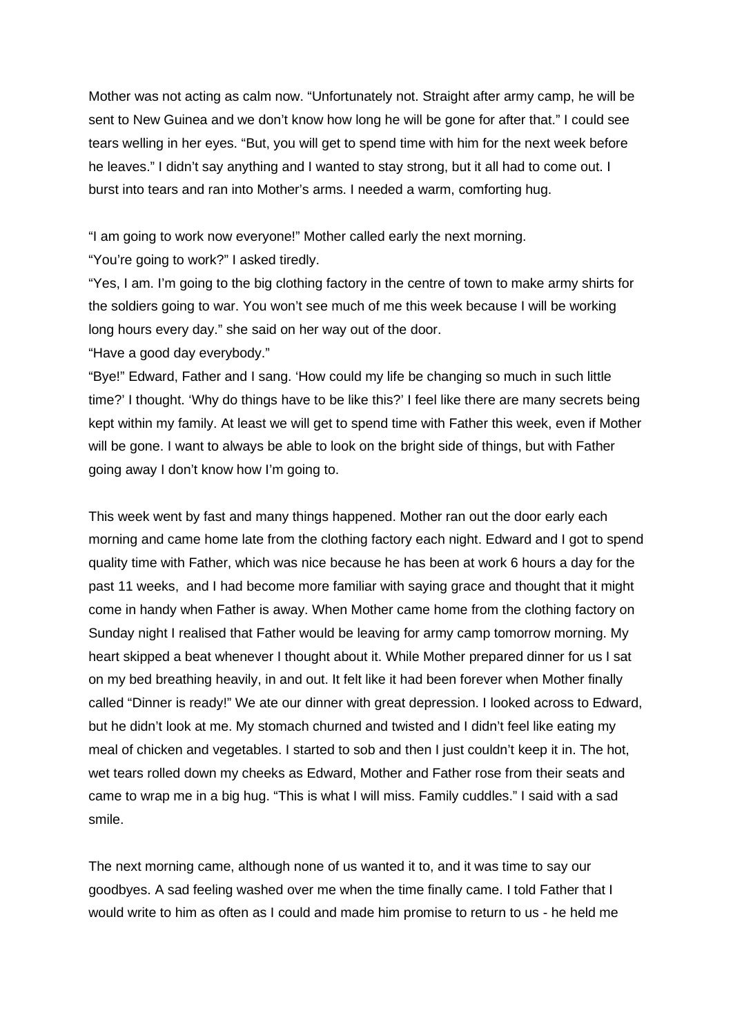Mother was not acting as calm now. "Unfortunately not. Straight after army camp, he will be sent to New Guinea and we don't know how long he will be gone for after that." I could see tears welling in her eyes. "But, you will get to spend time with him for the next week before he leaves." I didn't say anything and I wanted to stay strong, but it all had to come out. I burst into tears and ran into Mother's arms. I needed a warm, comforting hug.

"I am going to work now everyone!" Mother called early the next morning.

"You're going to work?" I asked tiredly.

"Yes, I am. I'm going to the big clothing factory in the centre of town to make army shirts for the soldiers going to war. You won't see much of me this week because I will be working long hours every day." she said on her way out of the door.

"Have a good day everybody."

"Bye!" Edward, Father and I sang. 'How could my life be changing so much in such little time?' I thought. 'Why do things have to be like this?' I feel like there are many secrets being kept within my family. At least we will get to spend time with Father this week, even if Mother will be gone. I want to always be able to look on the bright side of things, but with Father going away I don't know how I'm going to.

This week went by fast and many things happened. Mother ran out the door early each morning and came home late from the clothing factory each night. Edward and I got to spend quality time with Father, which was nice because he has been at work 6 hours a day for the past 11 weeks, and I had become more familiar with saying grace and thought that it might come in handy when Father is away. When Mother came home from the clothing factory on Sunday night I realised that Father would be leaving for army camp tomorrow morning. My heart skipped a beat whenever I thought about it. While Mother prepared dinner for us I sat on my bed breathing heavily, in and out. It felt like it had been forever when Mother finally called "Dinner is ready!" We ate our dinner with great depression. I looked across to Edward, but he didn't look at me. My stomach churned and twisted and I didn't feel like eating my meal of chicken and vegetables. I started to sob and then I just couldn't keep it in. The hot, wet tears rolled down my cheeks as Edward, Mother and Father rose from their seats and came to wrap me in a big hug. "This is what I will miss. Family cuddles." I said with a sad smile.

The next morning came, although none of us wanted it to, and it was time to say our goodbyes. A sad feeling washed over me when the time finally came. I told Father that I would write to him as often as I could and made him promise to return to us - he held me